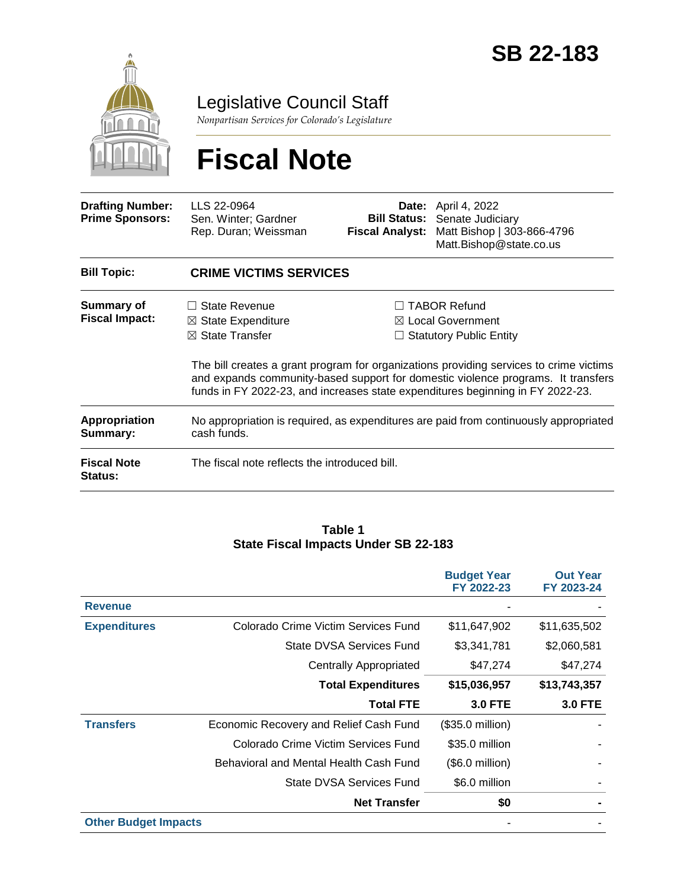

Legislative Council Staff

*Nonpartisan Services for Colorado's Legislature*

# **Fiscal Note**

| <b>Drafting Number:</b><br><b>Prime Sponsors:</b> | LLS 22-0964<br>Sen. Winter; Gardner<br>Rep. Duran; Weissman                                          | <b>Bill Status:</b><br><b>Fiscal Analyst:</b> | <b>Date:</b> April 4, 2022<br>Senate Judiciary<br>Matt Bishop   303-866-4796<br>Matt.Bishop@state.co.us                                                                                                                                                                                                                                               |  |  |
|---------------------------------------------------|------------------------------------------------------------------------------------------------------|-----------------------------------------------|-------------------------------------------------------------------------------------------------------------------------------------------------------------------------------------------------------------------------------------------------------------------------------------------------------------------------------------------------------|--|--|
| <b>Bill Topic:</b>                                | <b>CRIME VICTIMS SERVICES</b>                                                                        |                                               |                                                                                                                                                                                                                                                                                                                                                       |  |  |
| Summary of<br><b>Fiscal Impact:</b>               | State Revenue<br>$\perp$<br>$\boxtimes$ State Expenditure<br>$\boxtimes$ State Transfer              |                                               | $\Box$ TABOR Refund<br>$\boxtimes$ Local Government<br><b>Statutory Public Entity</b><br>The bill creates a grant program for organizations providing services to crime victims<br>and expands community-based support for domestic violence programs. It transfers<br>funds in FY 2022-23, and increases state expenditures beginning in FY 2022-23. |  |  |
| <b>Appropriation</b><br>Summary:                  | No appropriation is required, as expenditures are paid from continuously appropriated<br>cash funds. |                                               |                                                                                                                                                                                                                                                                                                                                                       |  |  |
| <b>Fiscal Note</b><br>Status:                     | The fiscal note reflects the introduced bill.                                                        |                                               |                                                                                                                                                                                                                                                                                                                                                       |  |  |

#### **Table 1 State Fiscal Impacts Under SB 22-183**

|                             |                                        | <b>Budget Year</b><br>FY 2022-23 | <b>Out Year</b><br>FY 2023-24 |
|-----------------------------|----------------------------------------|----------------------------------|-------------------------------|
| <b>Revenue</b>              |                                        |                                  |                               |
| <b>Expenditures</b>         | Colorado Crime Victim Services Fund    | \$11,647,902                     | \$11,635,502                  |
|                             | State DVSA Services Fund               | \$3,341,781                      | \$2,060,581                   |
|                             | <b>Centrally Appropriated</b>          | \$47,274                         | \$47,274                      |
|                             | <b>Total Expenditures</b>              | \$15,036,957                     | \$13,743,357                  |
|                             | <b>Total FTE</b>                       | <b>3.0 FTE</b>                   | <b>3.0 FTE</b>                |
| <b>Transfers</b>            | Economic Recovery and Relief Cash Fund | $($35.0 \text{ million})$        |                               |
|                             | Colorado Crime Victim Services Fund    | \$35.0 million                   |                               |
|                             | Behavioral and Mental Health Cash Fund | $($.0$ million)                  |                               |
|                             | State DVSA Services Fund               | \$6.0 million                    |                               |
|                             | <b>Net Transfer</b>                    | \$0                              |                               |
| <b>Other Budget Impacts</b> |                                        |                                  |                               |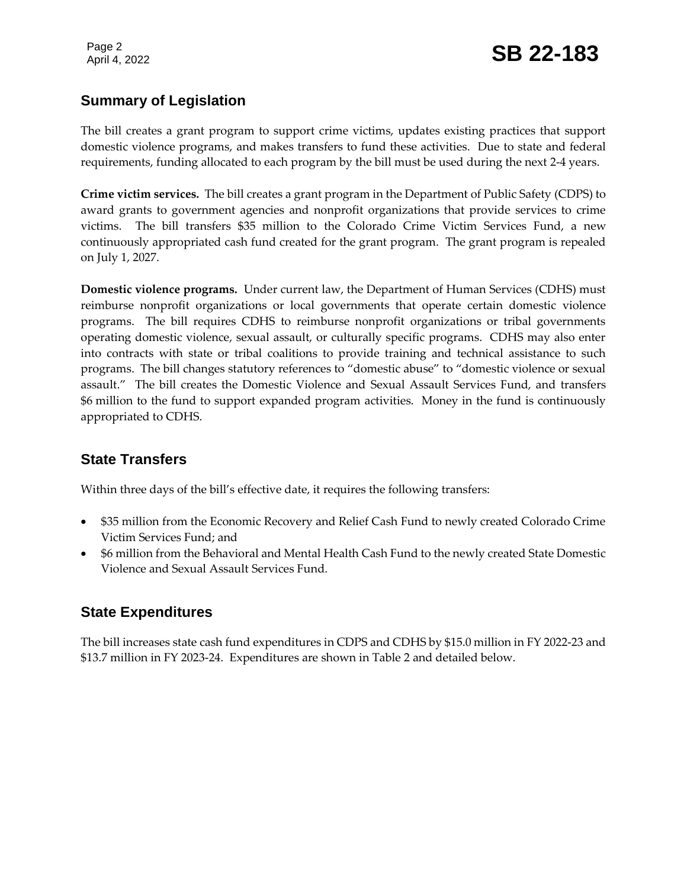### **Summary of Legislation**

The bill creates a grant program to support crime victims, updates existing practices that support domestic violence programs, and makes transfers to fund these activities. Due to state and federal requirements, funding allocated to each program by the bill must be used during the next 2-4 years.

**Crime victim services.** The bill creates a grant program in the Department of Public Safety (CDPS) to award grants to government agencies and nonprofit organizations that provide services to crime victims. The bill transfers \$35 million to the Colorado Crime Victim Services Fund, a new continuously appropriated cash fund created for the grant program. The grant program is repealed on July 1, 2027.

**Domestic violence programs.** Under current law, the Department of Human Services (CDHS) must reimburse nonprofit organizations or local governments that operate certain domestic violence programs. The bill requires CDHS to reimburse nonprofit organizations or tribal governments operating domestic violence, sexual assault, or culturally specific programs. CDHS may also enter into contracts with state or tribal coalitions to provide training and technical assistance to such programs. The bill changes statutory references to "domestic abuse" to "domestic violence or sexual assault." The bill creates the Domestic Violence and Sexual Assault Services Fund, and transfers \$6 million to the fund to support expanded program activities. Money in the fund is continuously appropriated to CDHS.

#### **State Transfers**

Within three days of the bill's effective date, it requires the following transfers:

- \$35 million from the Economic Recovery and Relief Cash Fund to newly created Colorado Crime Victim Services Fund; and
- \$6 million from the Behavioral and Mental Health Cash Fund to the newly created State Domestic Violence and Sexual Assault Services Fund.

#### **State Expenditures**

The bill increases state cash fund expenditures in CDPS and CDHS by \$15.0 million in FY 2022-23 and \$13.7 million in FY 2023-24. Expenditures are shown in Table 2 and detailed below.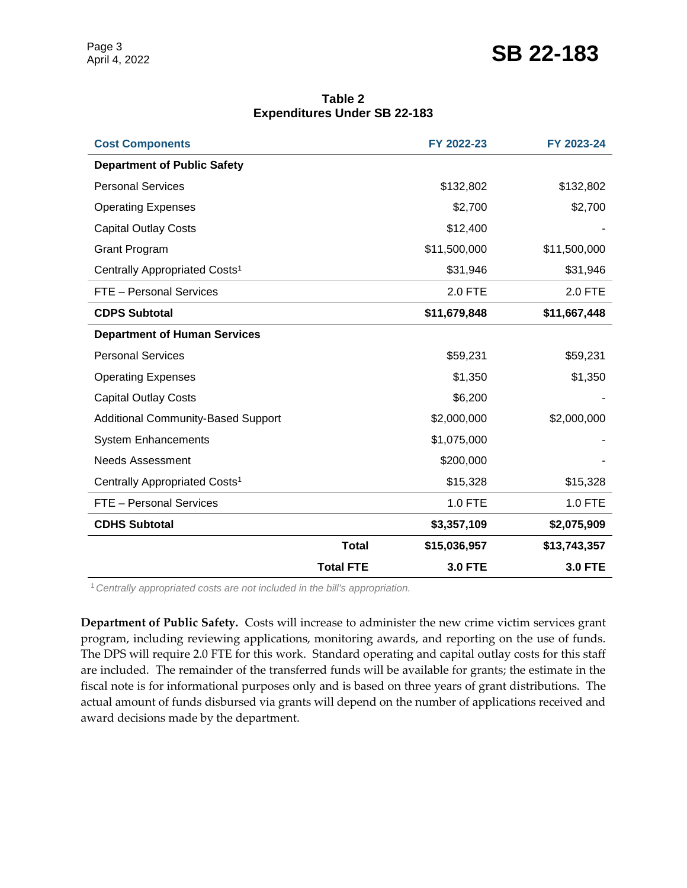## Page 3<br>April 4, 2022 **SB 22-183**

| Table 2                             |  |  |  |  |  |  |
|-------------------------------------|--|--|--|--|--|--|
| <b>Expenditures Under SB 22-183</b> |  |  |  |  |  |  |

| <b>Cost Components</b>                    |                  | FY 2022-23     | FY 2023-24     |
|-------------------------------------------|------------------|----------------|----------------|
| <b>Department of Public Safety</b>        |                  |                |                |
| <b>Personal Services</b>                  |                  | \$132,802      | \$132,802      |
| <b>Operating Expenses</b>                 |                  | \$2,700        | \$2,700        |
| <b>Capital Outlay Costs</b>               |                  | \$12,400       |                |
| <b>Grant Program</b>                      |                  | \$11,500,000   | \$11,500,000   |
| Centrally Appropriated Costs <sup>1</sup> |                  | \$31,946       | \$31,946       |
| FTE - Personal Services                   |                  | 2.0 FTE        | 2.0 FTE        |
| <b>CDPS Subtotal</b>                      |                  | \$11,679,848   | \$11,667,448   |
| <b>Department of Human Services</b>       |                  |                |                |
| <b>Personal Services</b>                  |                  | \$59,231       | \$59,231       |
| <b>Operating Expenses</b>                 |                  | \$1,350        | \$1,350        |
| <b>Capital Outlay Costs</b>               |                  | \$6,200        |                |
| <b>Additional Community-Based Support</b> |                  | \$2,000,000    | \$2,000,000    |
| <b>System Enhancements</b>                |                  | \$1,075,000    |                |
| <b>Needs Assessment</b>                   |                  | \$200,000      |                |
| Centrally Appropriated Costs <sup>1</sup> |                  | \$15,328       | \$15,328       |
| FTE - Personal Services                   |                  | 1.0 FTE        | 1.0 FTE        |
| <b>CDHS Subtotal</b>                      |                  | \$3,357,109    | \$2,075,909    |
|                                           | <b>Total</b>     | \$15,036,957   | \$13,743,357   |
|                                           | <b>Total FTE</b> | <b>3.0 FTE</b> | <b>3.0 FTE</b> |

<sup>1</sup>*Centrally appropriated costs are not included in the bill's appropriation.*

**Department of Public Safety.** Costs will increase to administer the new crime victim services grant program, including reviewing applications, monitoring awards, and reporting on the use of funds. The DPS will require 2.0 FTE for this work. Standard operating and capital outlay costs for this staff are included. The remainder of the transferred funds will be available for grants; the estimate in the fiscal note is for informational purposes only and is based on three years of grant distributions. The actual amount of funds disbursed via grants will depend on the number of applications received and award decisions made by the department.